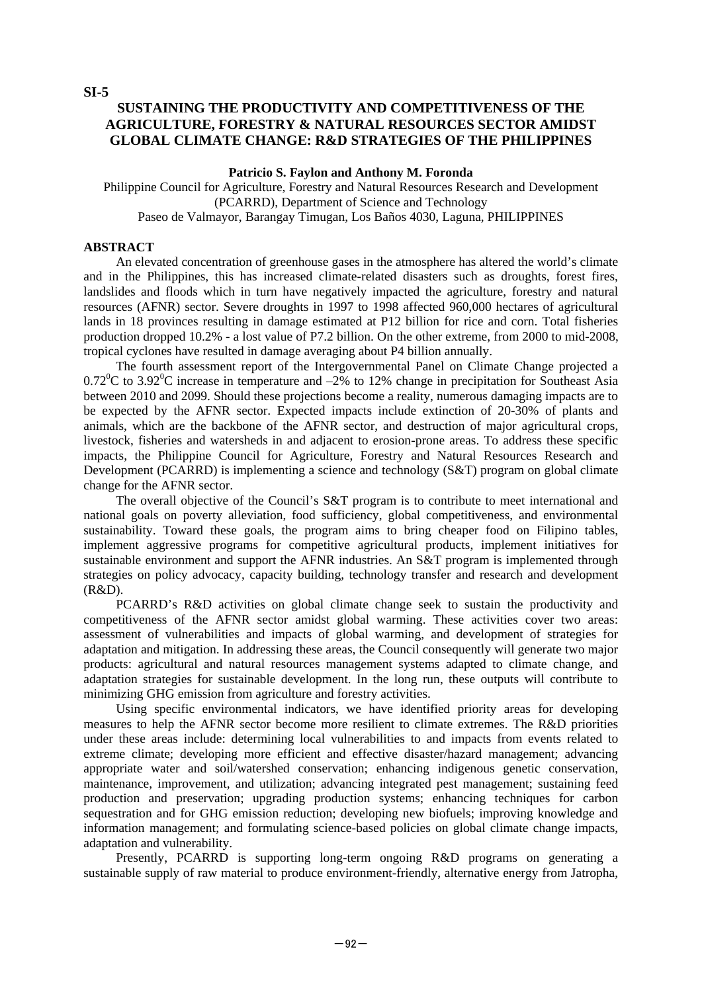**SI-5** 

#### **SUSTAINING THE PRODUCTIVITY AND COMPETITIVENESS OF THE AGRICULTURE, FORESTRY & NATURAL RESOURCES SECTOR AMIDST GLOBAL CLIMATE CHANGE: R&D STRATEGIES OF THE PHILIPPINES**

#### **Patricio S. Faylon and Anthony M. Foronda**

Philippine Council for Agriculture, Forestry and Natural Resources Research and Development (PCARRD), Department of Science and Technology Paseo de Valmayor, Barangay Timugan, Los Baños 4030, Laguna, PHILIPPINES

#### **ABSTRACT**

An elevated concentration of greenhouse gases in the atmosphere has altered the world's climate and in the Philippines, this has increased climate-related disasters such as droughts, forest fires, landslides and floods which in turn have negatively impacted the agriculture, forestry and natural resources (AFNR) sector. Severe droughts in 1997 to 1998 affected 960,000 hectares of agricultural lands in 18 provinces resulting in damage estimated at P12 billion for rice and corn. Total fisheries production dropped 10.2% - a lost value of P7.2 billion. On the other extreme, from 2000 to mid-2008, tropical cyclones have resulted in damage averaging about P4 billion annually.

The fourth assessment report of the Intergovernmental Panel on Climate Change projected a  $0.72^{\circ}$ C to  $3.92^{\circ}$ C increase in temperature and  $-2\%$  to 12% change in precipitation for Southeast Asia between 2010 and 2099. Should these projections become a reality, numerous damaging impacts are to be expected by the AFNR sector. Expected impacts include extinction of 20-30% of plants and animals, which are the backbone of the AFNR sector, and destruction of major agricultural crops, livestock, fisheries and watersheds in and adjacent to erosion-prone areas. To address these specific impacts, the Philippine Council for Agriculture, Forestry and Natural Resources Research and Development (PCARRD) is implementing a science and technology (S&T) program on global climate change for the AFNR sector.

The overall objective of the Council's S&T program is to contribute to meet international and national goals on poverty alleviation, food sufficiency, global competitiveness, and environmental sustainability. Toward these goals, the program aims to bring cheaper food on Filipino tables, implement aggressive programs for competitive agricultural products, implement initiatives for sustainable environment and support the AFNR industries. An S&T program is implemented through strategies on policy advocacy, capacity building, technology transfer and research and development (R&D).

PCARRD's R&D activities on global climate change seek to sustain the productivity and competitiveness of the AFNR sector amidst global warming. These activities cover two areas: assessment of vulnerabilities and impacts of global warming, and development of strategies for adaptation and mitigation. In addressing these areas, the Council consequently will generate two major products: agricultural and natural resources management systems adapted to climate change, and adaptation strategies for sustainable development. In the long run, these outputs will contribute to minimizing GHG emission from agriculture and forestry activities.

Using specific environmental indicators, we have identified priority areas for developing measures to help the AFNR sector become more resilient to climate extremes. The R&D priorities under these areas include: determining local vulnerabilities to and impacts from events related to extreme climate; developing more efficient and effective disaster/hazard management; advancing appropriate water and soil/watershed conservation; enhancing indigenous genetic conservation, maintenance, improvement, and utilization; advancing integrated pest management; sustaining feed production and preservation; upgrading production systems; enhancing techniques for carbon sequestration and for GHG emission reduction; developing new biofuels; improving knowledge and information management; and formulating science-based policies on global climate change impacts, adaptation and vulnerability.

Presently, PCARRD is supporting long-term ongoing R&D programs on generating a sustainable supply of raw material to produce environment-friendly, alternative energy from Jatropha,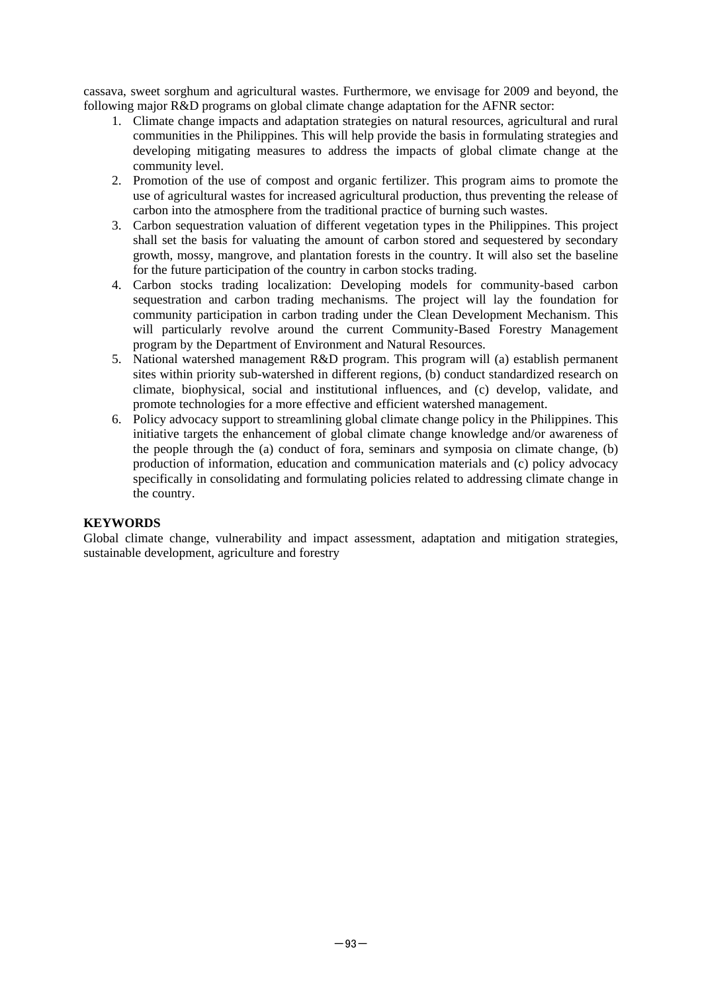cassava, sweet sorghum and agricultural wastes. Furthermore, we envisage for 2009 and beyond, the following major R&D programs on global climate change adaptation for the AFNR sector:

- 1. Climate change impacts and adaptation strategies on natural resources, agricultural and rural communities in the Philippines. This will help provide the basis in formulating strategies and developing mitigating measures to address the impacts of global climate change at the community level.
- 2. Promotion of the use of compost and organic fertilizer. This program aims to promote the use of agricultural wastes for increased agricultural production, thus preventing the release of carbon into the atmosphere from the traditional practice of burning such wastes.
- 3. Carbon sequestration valuation of different vegetation types in the Philippines. This project shall set the basis for valuating the amount of carbon stored and sequestered by secondary growth, mossy, mangrove, and plantation forests in the country. It will also set the baseline for the future participation of the country in carbon stocks trading.
- 4. Carbon stocks trading localization: Developing models for community-based carbon sequestration and carbon trading mechanisms. The project will lay the foundation for community participation in carbon trading under the Clean Development Mechanism. This will particularly revolve around the current Community-Based Forestry Management program by the Department of Environment and Natural Resources.
- 5. National watershed management R&D program. This program will (a) establish permanent sites within priority sub-watershed in different regions, (b) conduct standardized research on climate, biophysical, social and institutional influences, and (c) develop, validate, and promote technologies for a more effective and efficient watershed management.
- 6. Policy advocacy support to streamlining global climate change policy in the Philippines. This initiative targets the enhancement of global climate change knowledge and/or awareness of the people through the (a) conduct of fora, seminars and symposia on climate change, (b) production of information, education and communication materials and (c) policy advocacy specifically in consolidating and formulating policies related to addressing climate change in the country.

#### **KEYWORDS**

Global climate change, vulnerability and impact assessment, adaptation and mitigation strategies, sustainable development, agriculture and forestry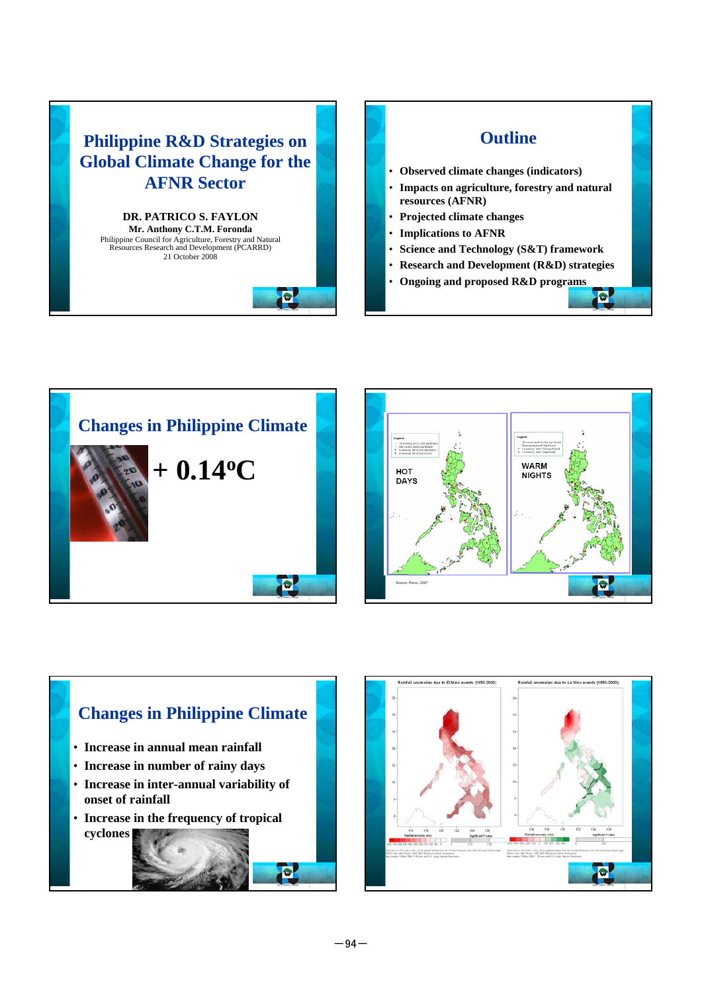









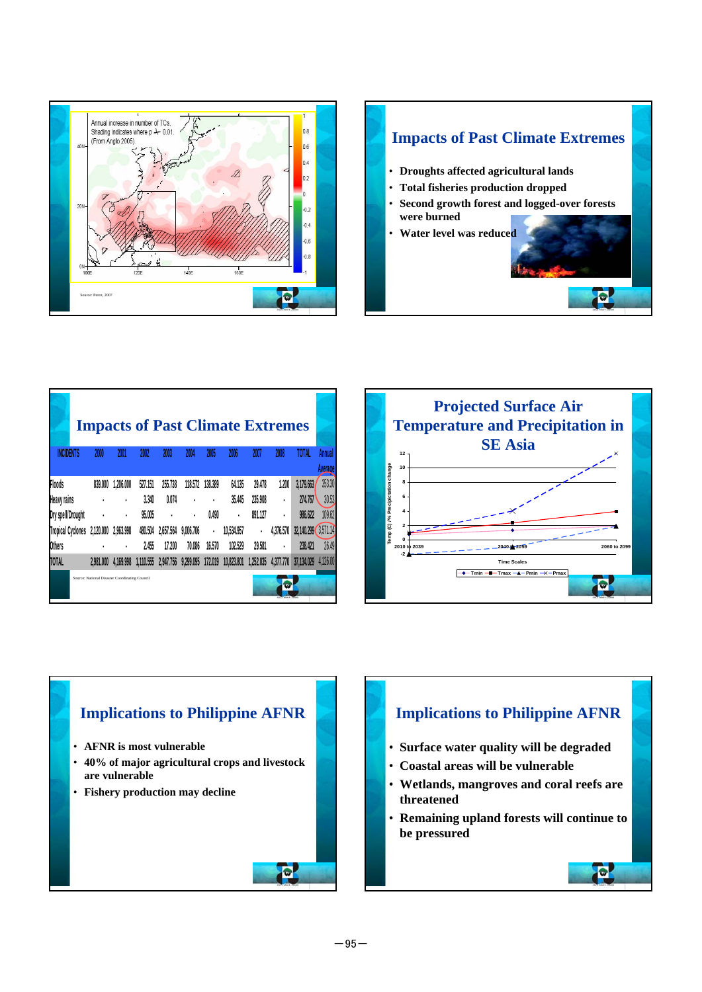

# **Impacts of Past Climate Extremes** • **Droughts affected agricultural lands**  • **Total fisheries production dropped**  • **Second growth forest and logged-over forests were burned** • **Water level was reduced** Đ.

|                                                |                |           |           |           |           |         | <b>Impacts of Past Climate Extremes</b> |           |                |                     |          |
|------------------------------------------------|----------------|-----------|-----------|-----------|-----------|---------|-----------------------------------------|-----------|----------------|---------------------|----------|
| <b>INCIDENTS</b>                               | 2000           | 2001      | 2002      | 2003      | 2004      | 2005    | 2006                                    | 2007      | 2008           | <b>TOTAL</b>        | Annual   |
|                                                |                |           |           |           |           |         |                                         |           |                |                     | Average  |
| Floods                                         | 839,000        | 1.206.000 | 527.151   | 255.738   | 118.572   | 138,389 | 64.135                                  | 29.478    | 1.200          | 3,179.663           | 353.30   |
| Heavy rains                                    | $\blacksquare$ | ٠         | 3.340     | 0.074     |           | ٠       | 35.445                                  | 235,908   | $\blacksquare$ | 274.767             | 30.53    |
| Dry spell/Drought                              | $\blacksquare$ | ٠         | 95.005    | ٠         | ٠         | 0.490   | $\blacksquare$                          | 891.127   | $\blacksquare$ | 986.622             | 109.62   |
| <b>Tropical Cyclones</b>                       | 2,120,000      | 2.963.998 | 480,504   | 2,657.564 | 9,006,706 |         | 10.534.957                              | ٠         | 4.376,570      | 32,140.299 3,571.14 |          |
| <b>Others</b>                                  | $\blacksquare$ | ٠         | 2.455     | 17,200    | 70.086    | 16,570  | 102.529                                 | 29.581    | $\blacksquare$ | 238.421             | 26.49    |
| <b>TOTAL</b>                                   | 2.981,000      | 4.169.998 | 1.110.555 | 2.947.756 | 9,299,095 | 172.019 | 10,823,801                              | 1.252.035 | 4,377,770      | 37.134.029          | 4,126,00 |
| Source: National Disaster Coordinating Council |                |           |           |           |           |         |                                         |           |                |                     |          |





### **Implications to Philippine AFNR**

- **Surface water quality will be degraded**
- **Coastal areas will be vulnerable**
- **Wetlands, mangroves and coral reefs are threatened**
- **Remaining upland forests will continue to be pressured**

Đ.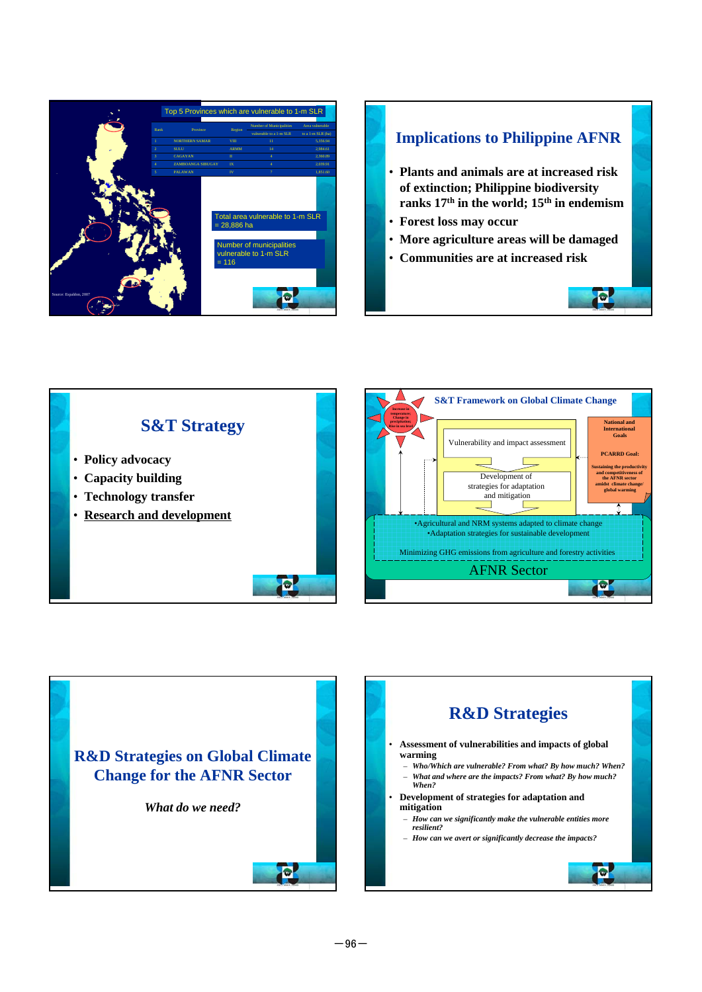

## **Implications to Philippine AFNR** • **Plants and animals are at increased risk of extinction; Philippine biodiversity ranks 17th in the world; 15th in endemism** • **Forest loss may occur** • **More agriculture areas will be damaged** • **Communities are at increased risk** Đ



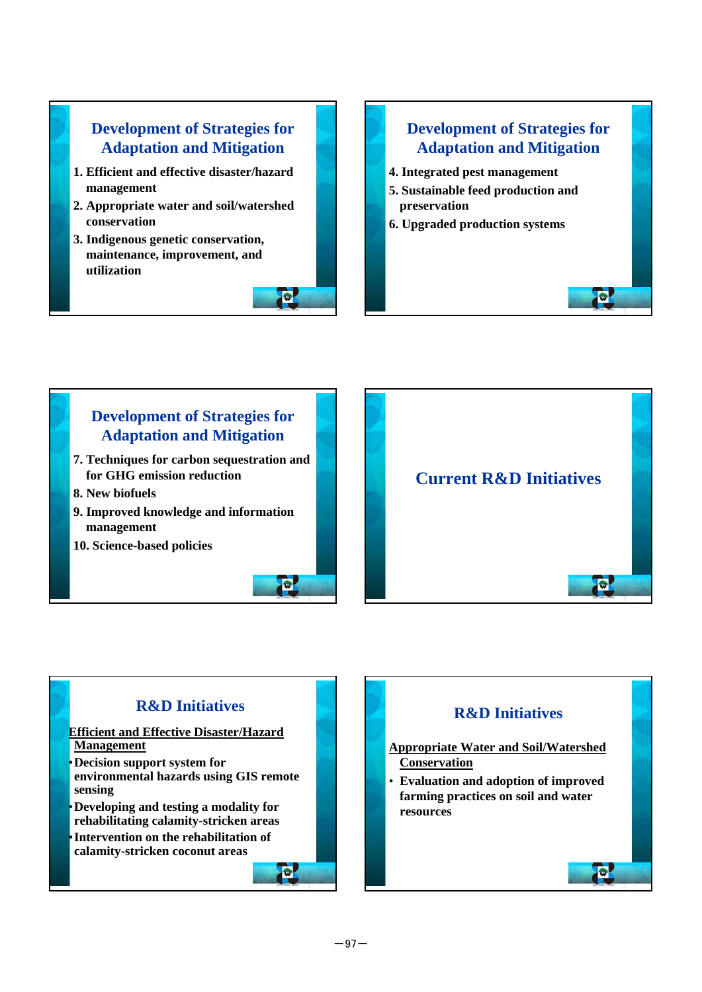### **Development of Strategies for Adaptation and Mitigation**

- **1. Efficient and effective disaster/hazard management**
- **2. Appropriate water and soil/watershed conservation**
- **3. Indigenous genetic conservation, maintenance, improvement, and utilization**



#### **Development of Strategies for Adaptation and Mitigation**

Ð

П

- **4. Integrated pest management**
- **5. Sustainable feed production and preservation**
- **6. Upgraded production systems**





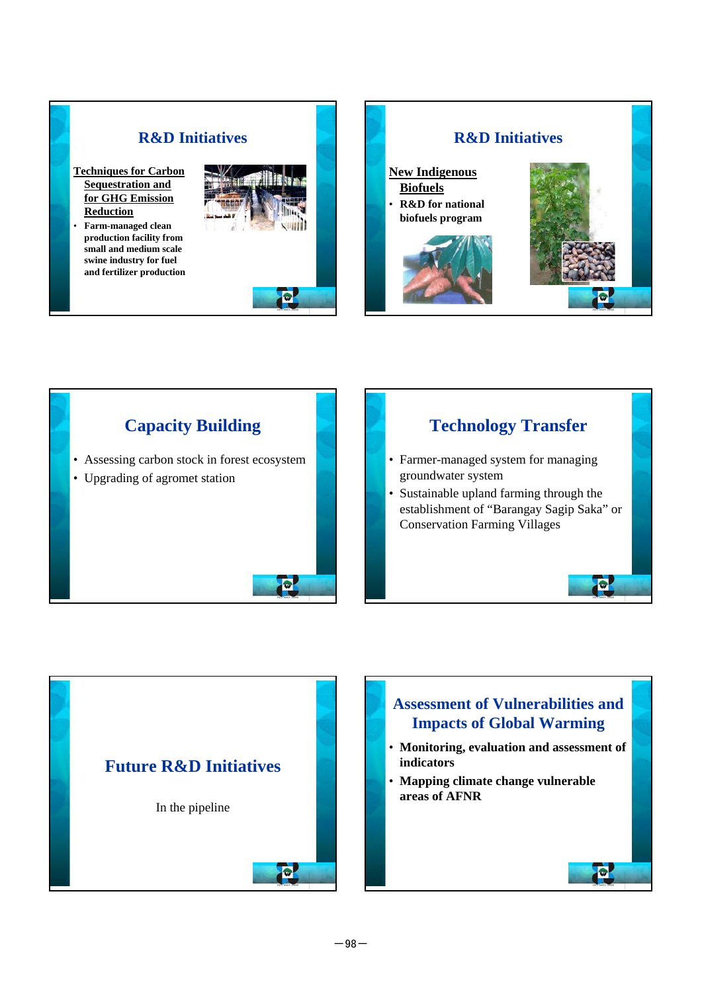







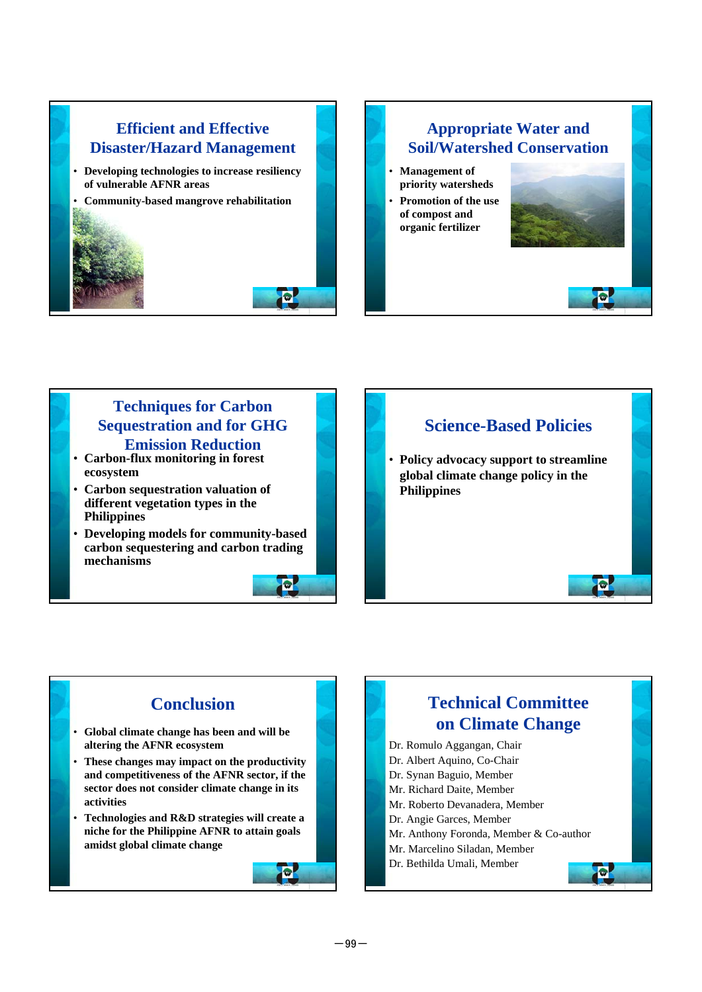# **Efficient and Effective Disaster/Hazard Management** • **Developing technologies to increase resiliency of vulnerable AFNR areas** • **Community-based mangrove rehabilitation**

 $\bullet$ 

 $\bullet$ 

### **Appropriate Water and Soil/Watershed Conservation** • **Management of**

- **priority watersheds**
- **Promotion of the use of compost and organic fertilizer**



Đ

 $\bullet$ 

## **Techniques for Carbon Sequestration and for GHG Emission Reduction** • **Carbon-flux monitoring in forest**

- **ecosystem**
- **Carbon sequestration valuation of different vegetation types in the Philippines**
- **Developing models for community-based carbon sequestering and carbon trading mechanisms**

# **Science-Based Policies** • **Policy advocacy support to streamline global climate change policy in the Philippines**

## **Conclusion**

- **Global climate change has been and will be altering the AFNR ecosystem**
- **These changes may impact on the productivity and competitiveness of the AFNR sector, if the sector does not consider climate change in its activities**
- **Technologies and R&D strategies will create a niche for the Philippine AFNR to attain goals amidst global climate change**

## **Technical Committee on Climate Change**

- Dr. Romulo Aggangan, Chair
- Dr. Albert Aquino, Co-Chair
- Dr. Synan Baguio, Member
- Mr. Richard Daite, Member
- Mr. Roberto Devanadera, Member
- Dr. Angie Garces, Member
- Mr. Anthony Foronda, Member & Co-author
- Mr. Marcelino Siladan, Member
- Dr. Bethilda Umali, Member